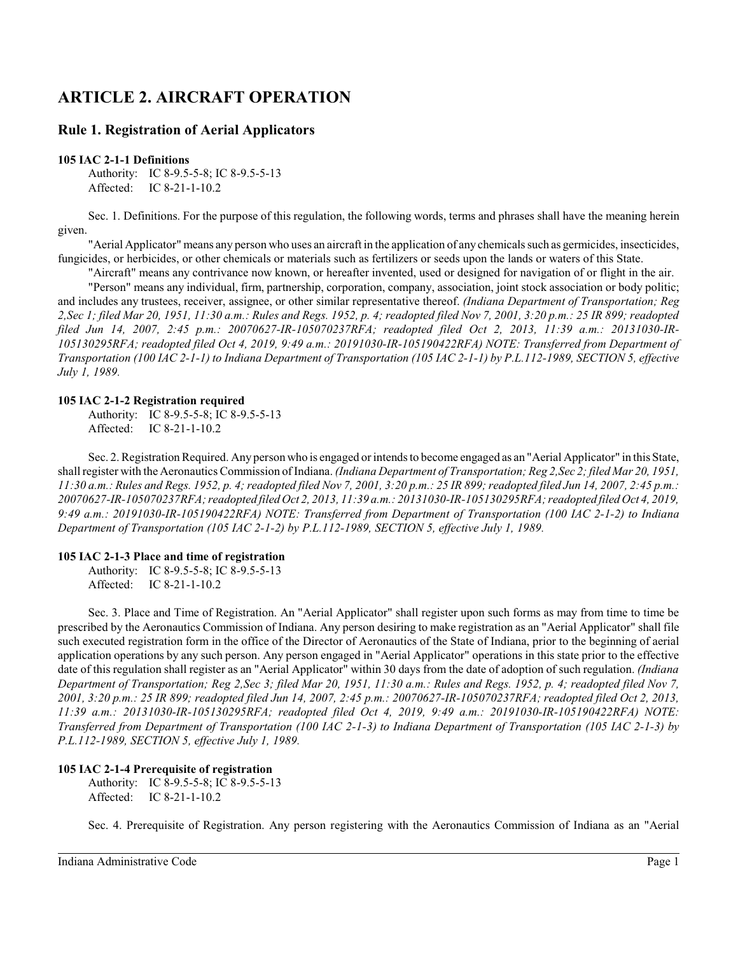# **ARTICLE 2. AIRCRAFT OPERATION**

## **Rule 1. Registration of Aerial Applicators**

#### **105 IAC 2-1-1 Definitions**

Authority: IC 8-9.5-5-8; IC 8-9.5-5-13 Affected: IC 8-21-1-10.2

Sec. 1. Definitions. For the purpose of this regulation, the following words, terms and phrases shall have the meaning herein given.

"Aerial Applicator" means any person who uses an aircraft in the application of any chemicals such as germicides, insecticides, fungicides, or herbicides, or other chemicals or materials such as fertilizers or seeds upon the lands or waters of this State.

"Aircraft" means any contrivance now known, or hereafter invented, used or designed for navigation of or flight in the air. "Person" means any individual, firm, partnership, corporation, company, association, joint stock association or body politic; and includes any trustees, receiver, assignee, or other similar representative thereof. *(Indiana Department of Transportation; Reg 2,Sec 1; filed Mar 20, 1951, 11:30 a.m.: Rules and Regs. 1952, p. 4; readopted filed Nov 7, 2001, 3:20 p.m.: 25 IR 899; readopted filed Jun 14, 2007, 2:45 p.m.: 20070627-IR-105070237RFA; readopted filed Oct 2, 2013, 11:39 a.m.: 20131030-IR-105130295RFA; readopted filed Oct 4, 2019, 9:49 a.m.: 20191030-IR-105190422RFA) NOTE: Transferred from Department of Transportation (100 IAC 2-1-1) to Indiana Department of Transportation (105 IAC 2-1-1) by P.L.112-1989, SECTION 5, effective July 1, 1989.*

#### **105 IAC 2-1-2 Registration required**

Authority: IC 8-9.5-5-8; IC 8-9.5-5-13 Affected: IC 8-21-1-10.2

Sec. 2. Registration Required. Any person who is engaged or intends to become engaged as an "Aerial Applicator" in this State, shall register with the Aeronautics Commission of Indiana. *(Indiana Department of Transportation; Reg 2,Sec 2; filed Mar 20, 1951, 11:30 a.m.: Rules and Regs. 1952, p. 4; readopted filed Nov 7, 2001, 3:20 p.m.: 25 IR 899;readopted filed Jun 14, 2007, 2:45 p.m.: 20070627-IR-105070237RFA; readopted filed Oct 2, 2013, 11:39 a.m.: 20131030-IR-105130295RFA; readopted filed Oct 4, 2019, 9:49 a.m.: 20191030-IR-105190422RFA) NOTE: Transferred from Department of Transportation (100 IAC 2-1-2) to Indiana Department of Transportation (105 IAC 2-1-2) by P.L.112-1989, SECTION 5, effective July 1, 1989.*

#### **105 IAC 2-1-3 Place and time of registration**

Authority: IC 8-9.5-5-8; IC 8-9.5-5-13 Affected: IC 8-21-1-10.2

Sec. 3. Place and Time of Registration. An "Aerial Applicator" shall register upon such forms as may from time to time be prescribed by the Aeronautics Commission of Indiana. Any person desiring to make registration as an "Aerial Applicator" shall file such executed registration form in the office of the Director of Aeronautics of the State of Indiana, prior to the beginning of aerial application operations by any such person. Any person engaged in "Aerial Applicator" operations in this state prior to the effective date of this regulation shall register as an "Aerial Applicator" within 30 days from the date of adoption of such regulation. *(Indiana Department of Transportation; Reg 2,Sec 3; filed Mar 20, 1951, 11:30 a.m.: Rules and Regs. 1952, p. 4; readopted filed Nov 7, 2001, 3:20 p.m.: 25 IR 899; readopted filed Jun 14, 2007, 2:45 p.m.: 20070627-IR-105070237RFA; readopted filed Oct 2, 2013, 11:39 a.m.: 20131030-IR-105130295RFA; readopted filed Oct 4, 2019, 9:49 a.m.: 20191030-IR-105190422RFA) NOTE: Transferred from Department of Transportation (100 IAC 2-1-3) to Indiana Department of Transportation (105 IAC 2-1-3) by P.L.112-1989, SECTION 5, effective July 1, 1989.*

#### **105 IAC 2-1-4 Prerequisite of registration**

Authority: IC 8-9.5-5-8; IC 8-9.5-5-13 Affected: IC 8-21-1-10.2

Sec. 4. Prerequisite of Registration. Any person registering with the Aeronautics Commission of Indiana as an "Aerial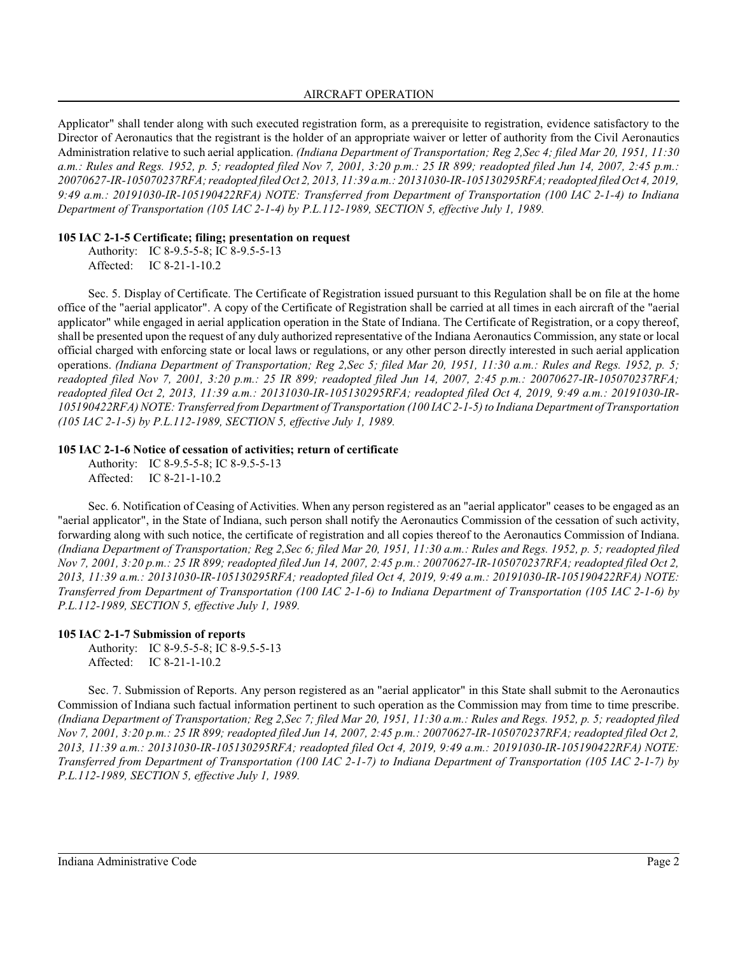#### AIRCRAFT OPERATION

Applicator" shall tender along with such executed registration form, as a prerequisite to registration, evidence satisfactory to the Director of Aeronautics that the registrant is the holder of an appropriate waiver or letter of authority from the Civil Aeronautics Administration relative to such aerial application. *(Indiana Department of Transportation; Reg 2,Sec 4; filed Mar 20, 1951, 11:30 a.m.: Rules and Regs. 1952, p. 5; readopted filed Nov 7, 2001, 3:20 p.m.: 25 IR 899; readopted filed Jun 14, 2007, 2:45 p.m.: 20070627-IR-105070237RFA; readopted filed Oct 2, 2013, 11:39 a.m.: 20131030-IR-105130295RFA; readopted filed Oct 4, 2019, 9:49 a.m.: 20191030-IR-105190422RFA) NOTE: Transferred from Department of Transportation (100 IAC 2-1-4) to Indiana Department of Transportation (105 IAC 2-1-4) by P.L.112-1989, SECTION 5, effective July 1, 1989.*

#### **105 IAC 2-1-5 Certificate; filing; presentation on request**

Authority: IC 8-9.5-5-8; IC 8-9.5-5-13 Affected: IC 8-21-1-10.2

Sec. 5. Display of Certificate. The Certificate of Registration issued pursuant to this Regulation shall be on file at the home office of the "aerial applicator". A copy of the Certificate of Registration shall be carried at all times in each aircraft of the "aerial applicator" while engaged in aerial application operation in the State of Indiana. The Certificate of Registration, or a copy thereof, shall be presented upon the request of any duly authorized representative of the Indiana Aeronautics Commission, any state or local official charged with enforcing state or local laws or regulations, or any other person directly interested in such aerial application operations. *(Indiana Department of Transportation; Reg 2,Sec 5; filed Mar 20, 1951, 11:30 a.m.: Rules and Regs. 1952, p. 5; readopted filed Nov 7, 2001, 3:20 p.m.: 25 IR 899; readopted filed Jun 14, 2007, 2:45 p.m.: 20070627-IR-105070237RFA; readopted filed Oct 2, 2013, 11:39 a.m.: 20131030-IR-105130295RFA; readopted filed Oct 4, 2019, 9:49 a.m.: 20191030-IR-105190422RFA) NOTE: Transferred from Department of Transportation (100 IAC 2-1-5) to Indiana Department of Transportation (105 IAC 2-1-5) by P.L.112-1989, SECTION 5, effective July 1, 1989.*

## **105 IAC 2-1-6 Notice of cessation of activities; return of certificate**

Authority: IC 8-9.5-5-8; IC 8-9.5-5-13 Affected: IC 8-21-1-10.2

Sec. 6. Notification of Ceasing of Activities. When any person registered as an "aerial applicator" ceases to be engaged as an "aerial applicator", in the State of Indiana, such person shall notify the Aeronautics Commission of the cessation of such activity, forwarding along with such notice, the certificate of registration and all copies thereof to the Aeronautics Commission of Indiana. *(Indiana Department of Transportation; Reg 2,Sec 6; filed Mar 20, 1951, 11:30 a.m.: Rules and Regs. 1952, p. 5; readopted filed Nov 7, 2001, 3:20 p.m.: 25 IR 899; readopted filed Jun 14, 2007, 2:45 p.m.: 20070627-IR-105070237RFA; readopted filed Oct 2, 2013, 11:39 a.m.: 20131030-IR-105130295RFA; readopted filed Oct 4, 2019, 9:49 a.m.: 20191030-IR-105190422RFA) NOTE: Transferred from Department of Transportation (100 IAC 2-1-6) to Indiana Department of Transportation (105 IAC 2-1-6) by P.L.112-1989, SECTION 5, effective July 1, 1989.*

## **105 IAC 2-1-7 Submission of reports**

Authority: IC 8-9.5-5-8; IC 8-9.5-5-13 Affected: IC 8-21-1-10.2

Sec. 7. Submission of Reports. Any person registered as an "aerial applicator" in this State shall submit to the Aeronautics Commission of Indiana such factual information pertinent to such operation as the Commission may from time to time prescribe. *(Indiana Department of Transportation; Reg 2,Sec 7; filed Mar 20, 1951, 11:30 a.m.: Rules and Regs. 1952, p. 5; readopted filed Nov 7, 2001, 3:20 p.m.: 25 IR 899; readopted filed Jun 14, 2007, 2:45 p.m.: 20070627-IR-105070237RFA; readopted filed Oct 2, 2013, 11:39 a.m.: 20131030-IR-105130295RFA; readopted filed Oct 4, 2019, 9:49 a.m.: 20191030-IR-105190422RFA) NOTE: Transferred from Department of Transportation (100 IAC 2-1-7) to Indiana Department of Transportation (105 IAC 2-1-7) by P.L.112-1989, SECTION 5, effective July 1, 1989.*